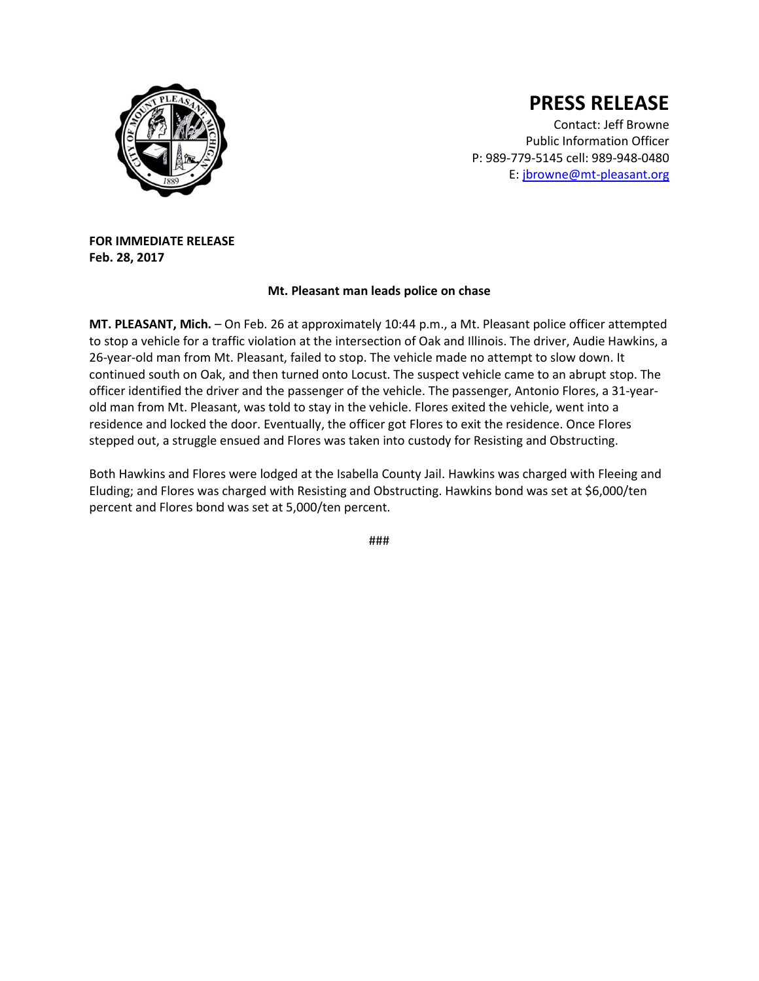

## **PRESS RELEASE**

Contact: Jeff Browne Public Information Officer P: 989-779-5145 cell: 989-948-0480 E: [jbrowne@mt-pleasant.org](mailto:jbrowne@mt-pleasant.org)

**FOR IMMEDIATE RELEASE Feb. 28, 2017** 

## **Mt. Pleasant man leads police on chase**

**MT. PLEASANT, Mich.** – On Feb. 26 at approximately 10:44 p.m., a Mt. Pleasant police officer attempted to stop a vehicle for a traffic violation at the intersection of Oak and Illinois. The driver, Audie Hawkins, a 26-year-old man from Mt. Pleasant, failed to stop. The vehicle made no attempt to slow down. It continued south on Oak, and then turned onto Locust. The suspect vehicle came to an abrupt stop. The officer identified the driver and the passenger of the vehicle. The passenger, Antonio Flores, a 31-yearold man from Mt. Pleasant, was told to stay in the vehicle. Flores exited the vehicle, went into a residence and locked the door. Eventually, the officer got Flores to exit the residence. Once Flores stepped out, a struggle ensued and Flores was taken into custody for Resisting and Obstructing.

Both Hawkins and Flores were lodged at the Isabella County Jail. Hawkins was charged with Fleeing and Eluding; and Flores was charged with Resisting and Obstructing. Hawkins bond was set at \$6,000/ten percent and Flores bond was set at 5,000/ten percent.

###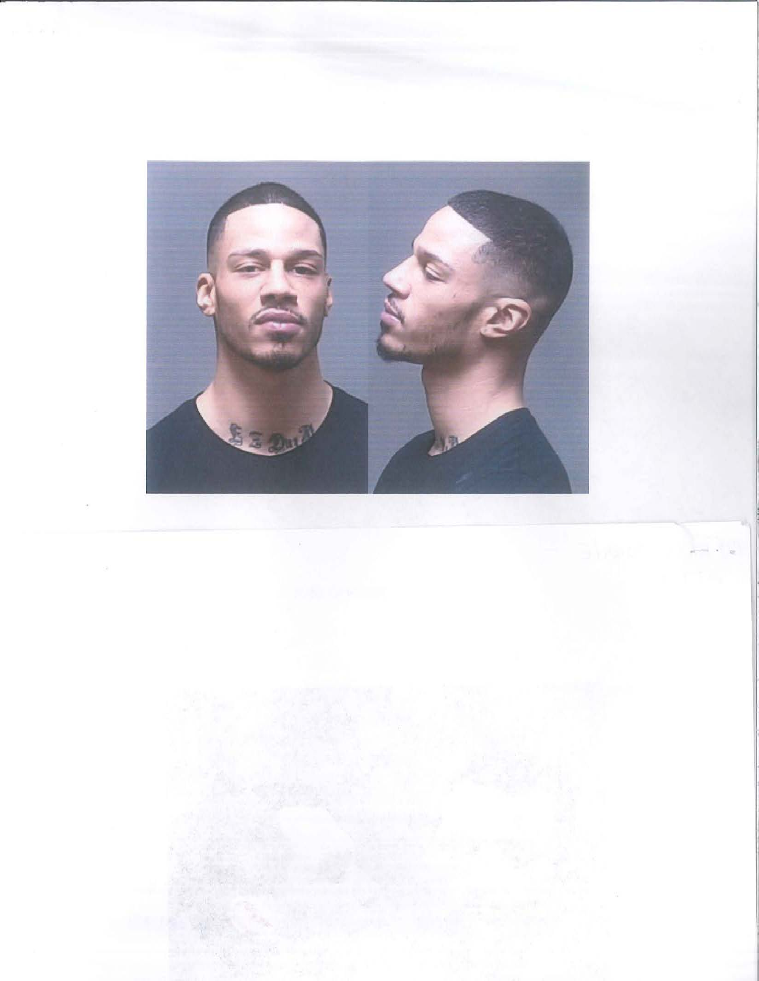